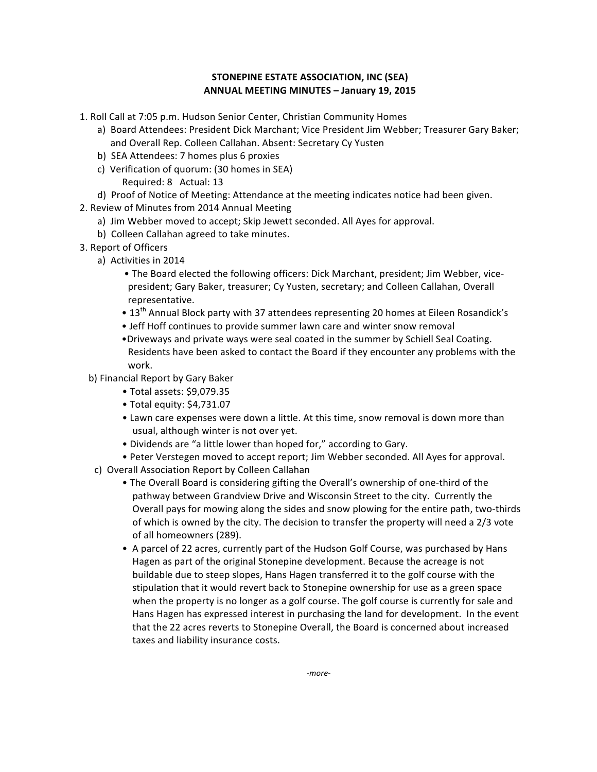## **STONEPINE ESTATE ASSOCIATION, INC (SEA)** ANNUAL MEETING MINUTES - January 19, 2015

- 1. Roll Call at 7:05 p.m. Hudson Senior Center, Christian Community Homes
	- a) Board Attendees: President Dick Marchant; Vice President Jim Webber; Treasurer Gary Baker; and Overall Rep. Colleen Callahan. Absent: Secretary Cy Yusten
	- b) SEA Attendees: 7 homes plus 6 proxies
	- c) Verification of quorum: (30 homes in SEA) Required: 8 Actual: 13
	- d) Proof of Notice of Meeting: Attendance at the meeting indicates notice had been given.
- 2. Review of Minutes from 2014 Annual Meeting
	- a) Jim Webber moved to accept; Skip Jewett seconded. All Ayes for approval.
	- b) Colleen Callahan agreed to take minutes.
- 3. Report of Officers
	- a) Activities in 2014
		- The Board elected the following officers: Dick Marchant, president; Jim Webber, vicepresident; Gary Baker, treasurer; Cy Yusten, secretary; and Colleen Callahan, Overall representative.
		- 13<sup>th</sup> Annual Block party with 37 attendees representing 20 homes at Eileen Rosandick's
		- Jeff Hoff continues to provide summer lawn care and winter snow removal
		- •Driveways and private ways were seal coated in the summer by Schiell Seal Coating. Residents have been asked to contact the Board if they encounter any problems with the work.
	- b) Financial Report by Gary Baker
		- Total assets: \$9,079.35
		- $\bullet$  Total equity: \$4,731.07
		- Lawn care expenses were down a little. At this time, snow removal is down more than usual, although winter is not over yet.
		- Dividends are "a little lower than hoped for," according to Gary.
		- Peter Verstegen moved to accept report; Jim Webber seconded. All Ayes for approval.
	- c) Overall Association Report by Colleen Callahan
		- The Overall Board is considering gifting the Overall's ownership of one-third of the pathway between Grandview Drive and Wisconsin Street to the city. Currently the Overall pays for mowing along the sides and snow plowing for the entire path, two-thirds of which is owned by the city. The decision to transfer the property will need a 2/3 vote of all homeowners (289).
		- A parcel of 22 acres, currently part of the Hudson Golf Course, was purchased by Hans Hagen as part of the original Stonepine development. Because the acreage is not buildable due to steep slopes, Hans Hagen transferred it to the golf course with the stipulation that it would revert back to Stonepine ownership for use as a green space when the property is no longer as a golf course. The golf course is currently for sale and Hans Hagen has expressed interest in purchasing the land for development. In the event that the 22 acres reverts to Stonepine Overall, the Board is concerned about increased taxes and liability insurance costs.